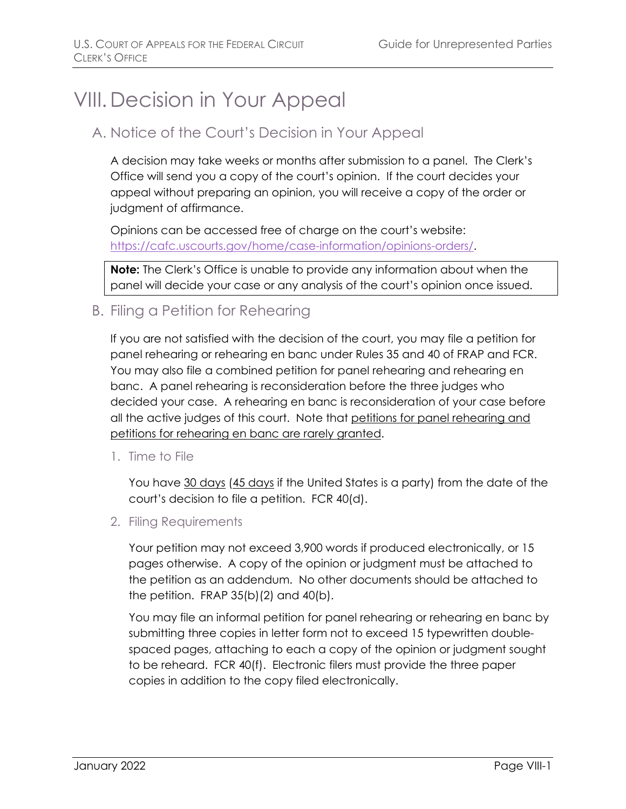# VIII.Decision in Your Appeal

## A. Notice of the Court's Decision in Your Appeal

A decision may take weeks or months after submission to a panel. The Clerk's Office will send you a copy of the court's opinion. If the court decides your appeal without preparing an opinion, you will receive a copy of the order or judgment of affirmance.

Opinions can be accessed free of charge on the court's website: [https://cafc.uscourts.gov/home/case-information/opinions-orders/.](https://cafc.uscourts.gov/home/case-information/opinions-orders/)

**Note:** The Clerk's Office is unable to provide any information about when the panel will decide your case or any analysis of the court's opinion once issued.

## B. Filing a Petition for Rehearing

If you are not satisfied with the decision of the court, you may file a petition for panel rehearing or rehearing en banc under Rules 35 and 40 of FRAP and FCR. You may also file a combined petition for panel rehearing and rehearing en banc. A panel rehearing is reconsideration before the three judges who decided your case. A rehearing en banc is reconsideration of your case before all the active judges of this court. Note that petitions for panel rehearing and petitions for rehearing en banc are rarely granted.

1. Time to File

You have 30 days (45 days if the United States is a party) from the date of the court's decision to file a petition. FCR 40(d).

2. Filing Requirements

Your petition may not exceed 3,900 words if produced electronically, or 15 pages otherwise. A copy of the opinion or judgment must be attached to the petition as an addendum. No other documents should be attached to the petition. FRAP 35(b)(2) and 40(b).

You may file an informal petition for panel rehearing or rehearing en banc by submitting three copies in letter form not to exceed 15 typewritten doublespaced pages, attaching to each a copy of the opinion or judgment sought to be reheard. FCR 40(f). Electronic filers must provide the three paper copies in addition to the copy filed electronically.